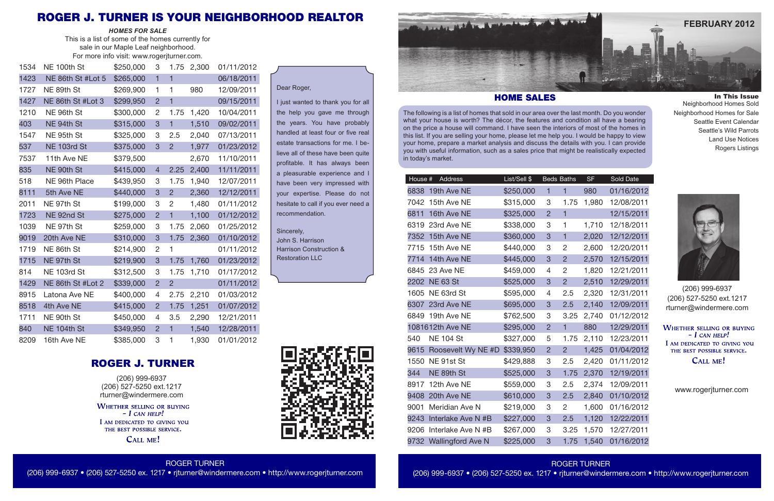The following is a list of homes that sold in our area over the last month. Do you wonder what your house is worth? The décor, the features and condition all have a bearing on the price a house will command. I have seen the interiors of most of the homes in this list. If you are selling your home, please let me help you. I would be happy to view your home, prepare a market analysis and discuss the details with you. I can provide you with useful information, such as a sales price that might be realistically expected in today's market.

| House # | Address                  | List/Sell \$ | Beds Ba        |                |
|---------|--------------------------|--------------|----------------|----------------|
|         | 6838 19th Ave NE         | \$250,000    | $\overline{1}$ | $\overline{1}$ |
|         | 7042 15th Ave NE         | \$315,000    | 3              | 1.             |
|         | 6811 16th Ave NE         | \$325,000    | $\overline{2}$ | $\overline{1}$ |
|         | 6319 23rd Ave NE         | \$338,000    | 3              | 1              |
|         | 7352 15th Ave NE         | \$360,000    | 3              | $\overline{1}$ |
|         | 7715 15th Ave NE         | \$440,000    | 3              | $\overline{2}$ |
|         | 7714 14th Ave NE         | \$445,000    | 3              | $\overline{2}$ |
| 6845    | 23 Ave NE                | \$459,000    | 4              | $\overline{2}$ |
| 2202    | <b>NE 63 St</b>          | \$525,000    | 3              | $\overline{2}$ |
|         | 1605 NE 63rd St          | \$595,000    | 4              | $\overline{2}$ |
|         | 6307 23rd Ave NE         | \$695,000    | 3              | $\overline{2}$ |
| 6849    | 19th Ave NE              | \$762,500    | 3              | 3              |
|         | 1081612th Ave NE         | \$295,000    | $\overline{2}$ | $\overline{1}$ |
| 540     | <b>NE 104 St</b>         | \$327,000    | 5              | 1.             |
|         | 9615 Roosevelt Wy NE #D  | \$339,950    | $\overline{2}$ | $\overline{2}$ |
| 1550    | NE 91st St               | \$429,888    | 3              | $\overline{2}$ |
| 344     | NE 89th St               | \$525,000    | 3              | $\mathbf{1}$   |
|         | 8917 12th Ave NE         | \$559,000    | 3              | $\overline{2}$ |
|         | 9408 20th Ave NE         | \$610,000    | 3              | $\overline{2}$ |
| 9001    | Meridian Ave N           | \$219,000    | 3              | 2              |
| 9243    | Interlake Ave N #B       | \$227,000    | 3              | $\overline{2}$ |
| 9206    | Interlake Ave N #B       | \$267,000    | 3              | 3              |
| 9732    | <b>Wallingford Ave N</b> | \$225,000    | 3              | $\overline{1}$ |

(206) 999-6937 (206) 527-5250 ext.1217 rturner@windermere.com

**WHETHER SELLING OR BUYING**  $-I$  CAN HELP! I AM DEDICATED TO GIVING YOU THE BEST POSSIBLE SERVICE. CALL ME!

www.rogerjturner.com

## ROGER TURNER (206) 999-6937 • (206) 527-5250 ex. 1217 • rjturner@windermere.com • http://www.rogerjturner.com

ROGER TURNER (206) 999-6937 • (206) 527-5250 ex. 1217 • rjturner@windermere.com • http://www.rogerjturner.com

In This Issue Neighborhood Homes Sold Neighborhood Homes for Sale Seattle Event Calendar Seattle's Wild Parrots Land Use Notices Rogers Listings

## HOME SALES

## Dear Roger,

I just wanted to thank you for all the help you gave me through the years. You have probably handled at least four or five real estate transactions for me. I believe all of these have been quite profitable. It has always been a pleasurable experience and I have been very impressed with your expertise. Please do not hesitate to call if you ever need a recommendation.

Sincerely, John S. Harrison

Harrison Construction & Restoration LLC





| 1534 | NE 100th St       | \$250,000 | 3              | 1.75           | 2,300 | 01/11/2012 |
|------|-------------------|-----------|----------------|----------------|-------|------------|
| 1423 | NE 86th St #Lot 5 | \$265,000 | $\overline{1}$ | $\overline{1}$ |       | 06/18/2011 |
| 1727 | NE 89th St        | \$269,900 | 1              | 1              | 980   | 12/09/2011 |
| 1427 | NE 86th St #Lot 3 | \$299,950 | $\overline{2}$ | $\overline{1}$ |       | 09/15/2011 |
| 1210 | NE 96th St        | \$300,000 | $\overline{2}$ | 1.75           | 1,420 | 10/04/2011 |
| 403  | NE 94th St        | \$315,000 | 3              | $\overline{1}$ | 1,510 | 09/02/2011 |
| 1547 | NE 95th St        | \$325,000 | 3              | 2.5            | 2,040 | 07/13/2011 |
| 537  | NE 103rd St       | \$375,000 | 3              | $\overline{2}$ | 1,977 | 01/23/2012 |
| 7537 | 11th Ave NE       | \$379,500 |                |                | 2,670 | 11/10/2011 |
| 835  | NE 90th St        | \$415,000 | $\overline{4}$ | 2.25           | 2,400 | 11/11/2011 |
| 518  | NE 96th Place     | \$439,950 | 3              | 1.75           | 1,940 | 12/07/2011 |
| 8111 | 5th Ave NE        | \$440,000 | 3              | $\overline{2}$ | 2,360 | 12/12/2011 |
| 2011 | NE 97th St        | \$199,000 | 3              | $\overline{2}$ | 1,480 | 01/11/2012 |
| 1723 | NE 92nd St        | \$275,000 | $\overline{2}$ | $\overline{1}$ | 1,100 | 01/12/2012 |
| 1039 | NE 97th St        | \$259,000 | 3              | 1.75           | 2,060 | 01/25/2012 |
| 9019 | 20th Ave NE       | \$310,000 | 3              | 1.75           | 2,360 | 01/10/2012 |
| 1719 | NE 86th St        | \$214,900 | $\overline{c}$ | 1              |       | 01/11/2012 |
| 1715 | NE 97th St        | \$219,900 | 3              | 1.75           | 1,760 | 01/23/2012 |
| 814  | NE 103rd St       | \$312,500 | 3              | 1.75           | 1,710 | 01/17/2012 |
| 1429 | NE 86th St #Lot 2 | \$339,000 | $\overline{2}$ | $\overline{2}$ |       | 01/11/2012 |
| 8915 | Latona Ave NE     | \$400,000 | 4              | 2.75           | 2,210 | 01/03/2012 |
| 8518 | 4th Ave NE        | \$415,000 | $\overline{2}$ | 1.75           | 1,251 | 01/07/2012 |
| 1711 | NE 90th St        | \$450,000 | 4              | 3.5            | 2,290 | 12/21/2011 |
| 840  | NE 104th St       | \$349,950 | $\overline{2}$ | $\mathbf{1}$   | 1,540 | 12/28/2011 |
| 8209 | 16th Ave NE       | \$385,000 | 3              | 1              | 1,930 | 01/01/2012 |

*HOMES FOR SALE* This is a list of some of the homes currently for sale in our Maple Leaf neighborhood. For more info visit: www.rogerjturner.com.





(206) 999-6937 (206) 527-5250 ext.1217 rturner@windermere.com

**WHETHER SELLING OR BUYING**  $-I$  CAN HELP! I AM DEDICATED TO GIVING YOU THE BEST POSSIBLE SERVICE.

CALL ME!

# ROGER J. TURNER